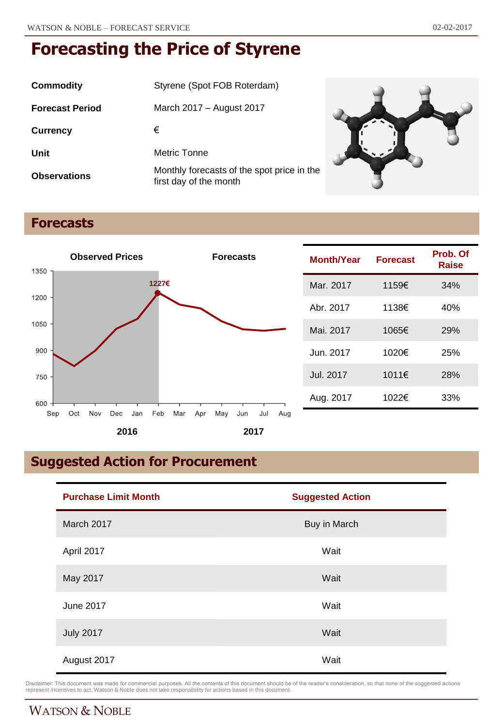| <b>Commodity</b>       | Styrene (Spot FOB Roterdam)                                          |  |
|------------------------|----------------------------------------------------------------------|--|
| <b>Forecast Period</b> | March 2017 - August 2017                                             |  |
| <b>Currency</b>        | €                                                                    |  |
| Unit                   | Metric Tonne                                                         |  |
| <b>Observations</b>    | Monthly forecasts of the spot price in the<br>first day of the month |  |

## **Forecasts**



| <b>Month/Year</b> | <b>Forecast</b> | Prob. Of<br>Raise |
|-------------------|-----------------|-------------------|
| Mar. 2017         | 1159€           | 34%               |
| Abr. 2017         | 1138€           | 40%               |
| Mai. 2017         | 1065€           | 29%               |
| Jun. 2017         | 1020€           | 25%               |
| Jul. 2017         | 1011€           | 28%               |
| Aug. 2017         | 1022€           | 33%               |

# **Suggested Action for Procurement**

| <b>Purchase Limit Month</b> | <b>Suggested Action</b> |
|-----------------------------|-------------------------|
| March 2017                  | Buy in March            |
| April 2017                  | Wait                    |
| May 2017                    | Wait                    |
| June 2017                   | Wait                    |
| <b>July 2017</b>            | Wait                    |
| August 2017                 | Wait                    |

Disclaimer: This document was made for commercial purposes. All the contents of this document should be of the reader's consideration, so that none of the suggested actions<br>represent incentives to act. Watson & Noble does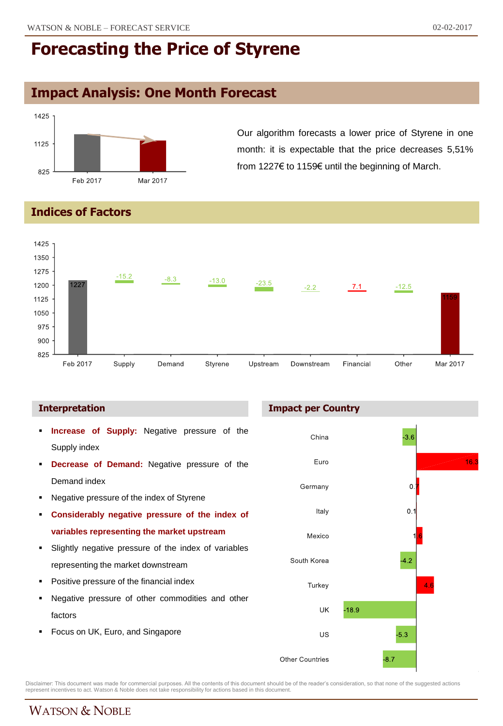# **Impact Analysis: One Month Forecast**



Our algorithm forecasts a lower price of Styrene in one month: it is expectable that the price decreases 5,51% from 1227€ to 1159€ until the beginning of March.

### **Indices of Factors**



### **Interpretation**

- **Increase of Supply:** Negative pressure of the Supply index
- **Decrease of Demand:** Negative pressure of the Demand index
- **Negative pressure of the index of Styrene**
- **Considerably negative pressure of the index of variables representing the market upstream**
- Slightly negative pressure of the index of variables representing the market downstream
- Positive pressure of the financial index
- Negative pressure of other commodities and other factors
- Focus on UK, Euro, and Singapore

### **Impact per Country**



Disclaimer: This document was made for commercial purposes. All the contents of this document should be of the reader's consideration, so that none of the suggested actions<br>represent incentives to act. Watson & Noble does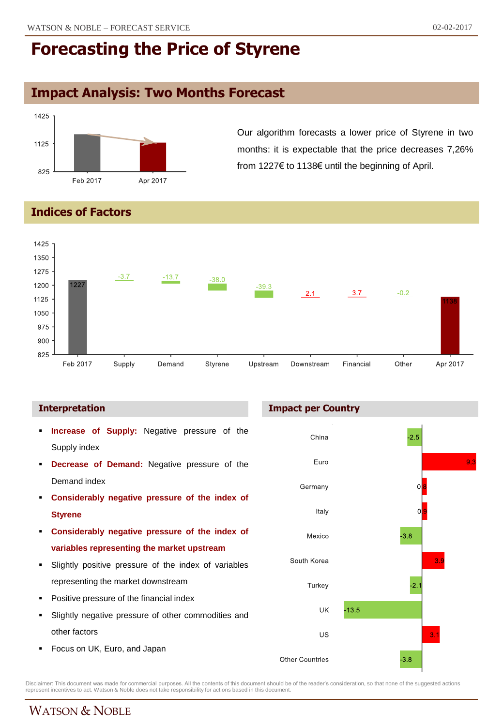## **Impact Analysis: Two Months Forecast**



Our algorithm forecasts a lower price of Styrene in two months: it is expectable that the price decreases 7,26% from 1227€ to 1138€ until the beginning of April.

### **Indices of Factors**



- **Increase of Supply:** Negative pressure of the Supply index
- **Decrease of Demand:** Negative pressure of the Demand index
- **Considerably negative pressure of the index of Styrene**
- **Considerably negative pressure of the index of variables representing the market upstream**
- Slightly positive pressure of the index of variables representing the market downstream
- Positive pressure of the financial index
- Slightly negative pressure of other commodities and other factors
- Focus on UK, Euro, and Japan

### **Interpretation Impact per Country**



Disclaimer: This document was made for commercial purposes. All the contents of this document should be of the reader's consideration, so that none of the suggested actions<br>represent incentives to act. Watson & Noble does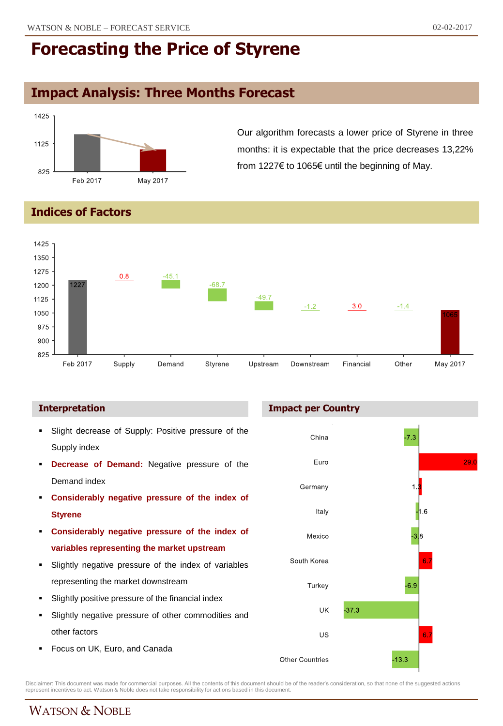# **Impact Analysis: Three Months Forecast**



Our algorithm forecasts a lower price of Styrene in three months: it is expectable that the price decreases 13,22% from 1227€ to 1065€ until the beginning of May.

### **Indices of Factors**



- Slight decrease of Supply: Positive pressure of the Supply index
- **Decrease of Demand:** Negative pressure of the Demand index
- **Considerably negative pressure of the index of Styrene**
- **Considerably negative pressure of the index of variables representing the market upstream**
- Slightly negative pressure of the index of variables representing the market downstream
- Slightly positive pressure of the financial index
- Slightly negative pressure of other commodities and other factors
- Focus on UK, Euro, and Canada

### **Interpretation Impact per Country**



Disclaimer: This document was made for commercial purposes. All the contents of this document should be of the reader's consideration, so that none of the suggested actions<br>represent incentives to act. Watson & Noble does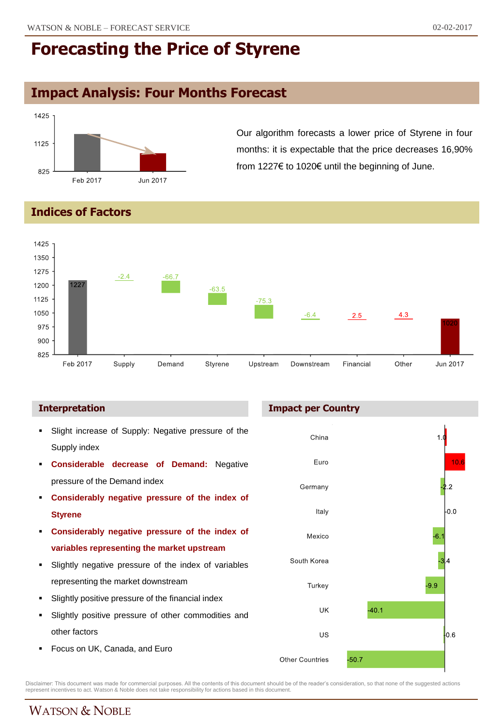## **Impact Analysis: Four Months Forecast**



Our algorithm forecasts a lower price of Styrene in four months: it is expectable that the price decreases 16,90% from 1227€ to 1020€ until the beginning of June.

### **Indices of Factors**



- Slight increase of Supply: Negative pressure of the Supply index
- **Considerable decrease of Demand:** Negative pressure of the Demand index
- **Considerably negative pressure of the index of Styrene**
- **Considerably negative pressure of the index of variables representing the market upstream**
- Slightly negative pressure of the index of variables representing the market downstream
- Slightly positive pressure of the financial index
- Slightly positive pressure of other commodities and other factors
- Focus on UK, Canada, and Euro

### **Interpretation Impact per Country**



Disclaimer: This document was made for commercial purposes. All the contents of this document should be of the reader's consideration, so that none of the suggested actions<br>represent incentives to act. Watson & Noble does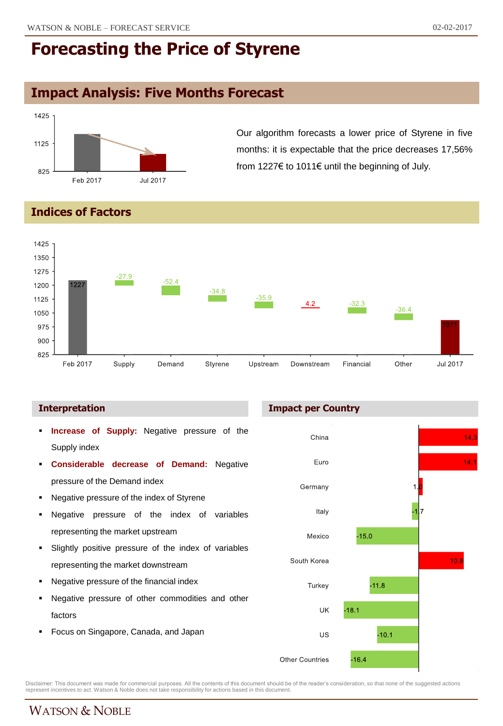# **Impact Analysis: Five Months Forecast**



Our algorithm forecasts a lower price of Styrene in five months: it is expectable that the price decreases 17,56% from 1227€ to 1011€ until the beginning of July.

### **Indices of Factors**



- **Increase of Supply:** Negative pressure of the Supply index
- **Considerable decrease of Demand:** Negative pressure of the Demand index
- Negative pressure of the index of Styrene
- Negative pressure of the index of variables representing the market upstream
- Slightly positive pressure of the index of variables representing the market downstream
- Negative pressure of the financial index
- Negative pressure of other commodities and other factors
- Focus on Singapore, Canada, and Japan

### **Interpretation Impact per Country**



Disclaimer: This document was made for commercial purposes. All the contents of this document should be of the reader's consideration, so that none of the suggested actions<br>represent incentives to act. Watson & Noble does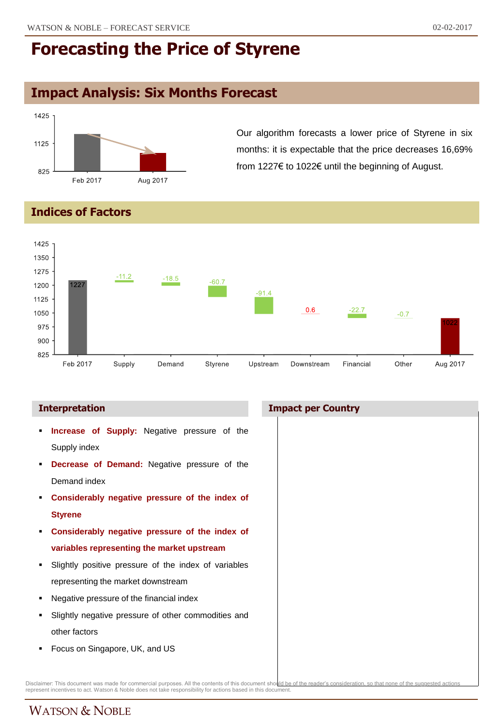## **Impact Analysis: Six Months Forecast**



Our algorithm forecasts a lower price of Styrene in six months: it is expectable that the price decreases 16,69% from 1227€ to 1022€ until the beginning of August.

### **Indices of Factors**



### **Interpretation Impact per Country**

- **Increase of Supply:** Negative pressure of the Supply index
- **Decrease of Demand:** Negative pressure of the Demand index
- **Considerably negative pressure of the index of Styrene**
- **Considerably negative pressure of the index of variables representing the market upstream**
- Slightly positive pressure of the index of variables representing the market downstream
- Negative pressure of the financial index
- Slightly negative pressure of other commodities and other factors
- **Focus on Singapore, UK, and US**

Disclaimer: This document was made for commercial purposes. All the contents of this document sho<u>llid be of the reader's consideration, so that none of the suggested actions.</u><br>represent incentives to act. Watson & Noble d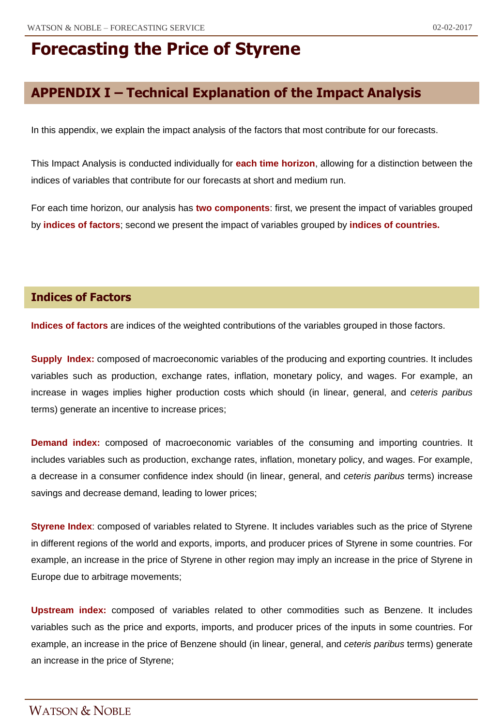## **APPENDIX I – Technical Explanation of the Impact Analysis**

In this appendix, we explain the impact analysis of the factors that most contribute for our forecasts.

This Impact Analysis is conducted individually for **each time horizon**, allowing for a distinction between the indices of variables that contribute for our forecasts at short and medium run.

For each time horizon, our analysis has **two components**: first, we present the impact of variables grouped by **indices of factors**; second we present the impact of variables grouped by **indices of countries.**

### **Indices of Factors**

**Indices of factors** are indices of the weighted contributions of the variables grouped in those factors.

**Supply Index:** composed of macroeconomic variables of the producing and exporting countries. It includes variables such as production, exchange rates, inflation, monetary policy, and wages. For example, an increase in wages implies higher production costs which should (in linear, general, and *ceteris paribus* terms) generate an incentive to increase prices;

**Demand index:** composed of macroeconomic variables of the consuming and importing countries. It includes variables such as production, exchange rates, inflation, monetary policy, and wages. For example, a decrease in a consumer confidence index should (in linear, general, and *ceteris paribus* terms) increase savings and decrease demand, leading to lower prices;

**Styrene Index**: composed of variables related to Styrene. It includes variables such as the price of Styrene in different regions of the world and exports, imports, and producer prices of Styrene in some countries. For example, an increase in the price of Styrene in other region may imply an increase in the price of Styrene in Europe due to arbitrage movements;

**Upstream index:** composed of variables related to other commodities such as Benzene. It includes variables such as the price and exports, imports, and producer prices of the inputs in some countries. For example, an increase in the price of Benzene should (in linear, general, and *ceteris paribus* terms) generate an increase in the price of Styrene;